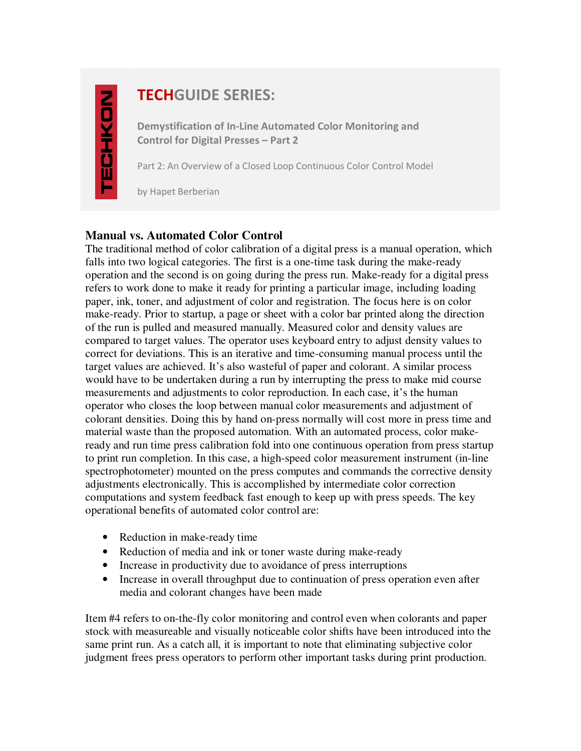# **TECHGUIDE SERIES:**

**Demystification of In-Line Automated Color Monitoring and Control for Digital Presses – Part 2** 

Part 2: An Overview of a Closed Loop Continuous Color Control Model

by Hapet Berberian

### **Manual vs. Automated Color Control**

The traditional method of color calibration of a digital press is a manual operation, which falls into two logical categories. The first is a one-time task during the make-ready operation and the second is on going during the press run. Make-ready for a digital press refers to work done to make it ready for printing a particular image, including loading paper, ink, toner, and adjustment of color and registration. The focus here is on color make-ready. Prior to startup, a page or sheet with a color bar printed along the direction of the run is pulled and measured manually. Measured color and density values are compared to target values. The operator uses keyboard entry to adjust density values to correct for deviations. This is an iterative and time-consuming manual process until the target values are achieved. It's also wasteful of paper and colorant. A similar process would have to be undertaken during a run by interrupting the press to make mid course measurements and adjustments to color reproduction. In each case, it's the human operator who closes the loop between manual color measurements and adjustment of colorant densities. Doing this by hand on-press normally will cost more in press time and material waste than the proposed automation. With an automated process, color makeready and run time press calibration fold into one continuous operation from press startup to print run completion. In this case, a high-speed color measurement instrument (in-line spectrophotometer) mounted on the press computes and commands the corrective density adjustments electronically. This is accomplished by intermediate color correction computations and system feedback fast enough to keep up with press speeds. The key operational benefits of automated color control are:

- Reduction in make-ready time
- Reduction of media and ink or toner waste during make-ready
- Increase in productivity due to avoidance of press interruptions
- Increase in overall throughput due to continuation of press operation even after media and colorant changes have been made

Item #4 refers to on-the-fly color monitoring and control even when colorants and paper stock with measureable and visually noticeable color shifts have been introduced into the same print run. As a catch all, it is important to note that eliminating subjective color judgment frees press operators to perform other important tasks during print production.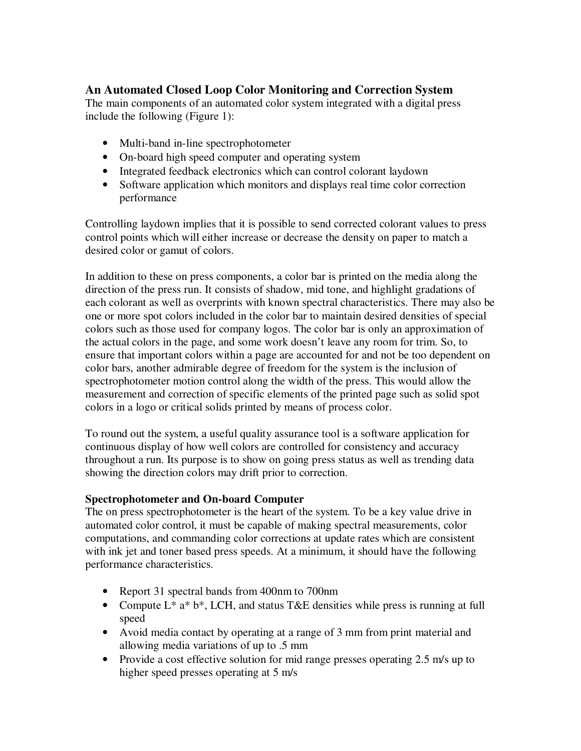## **An Automated Closed Loop Color Monitoring and Correction System**

The main components of an automated color system integrated with a digital press include the following (Figure 1):

- Multi-band in-line spectrophotometer
- On-board high speed computer and operating system
- Integrated feedback electronics which can control colorant laydown
- Software application which monitors and displays real time color correction performance

Controlling laydown implies that it is possible to send corrected colorant values to press control points which will either increase or decrease the density on paper to match a desired color or gamut of colors.

In addition to these on press components, a color bar is printed on the media along the direction of the press run. It consists of shadow, mid tone, and highlight gradations of each colorant as well as overprints with known spectral characteristics. There may also be one or more spot colors included in the color bar to maintain desired densities of special colors such as those used for company logos. The color bar is only an approximation of the actual colors in the page, and some work doesn't leave any room for trim. So, to ensure that important colors within a page are accounted for and not be too dependent on color bars, another admirable degree of freedom for the system is the inclusion of spectrophotometer motion control along the width of the press. This would allow the measurement and correction of specific elements of the printed page such as solid spot colors in a logo or critical solids printed by means of process color.

To round out the system, a useful quality assurance tool is a software application for continuous display of how well colors are controlled for consistency and accuracy throughout a run. Its purpose is to show on going press status as well as trending data showing the direction colors may drift prior to correction.

#### **Spectrophotometer and On-board Computer**

The on press spectrophotometer is the heart of the system. To be a key value drive in automated color control, it must be capable of making spectral measurements, color computations, and commanding color corrections at update rates which are consistent with ink jet and toner based press speeds. At a minimum, it should have the following performance characteristics.

- Report 31 spectral bands from 400nm to 700nm
- Compute  $L^*$  a<sup>\*</sup> b<sup>\*</sup>, LCH, and status T&E densities while press is running at full speed
- Avoid media contact by operating at a range of 3 mm from print material and allowing media variations of up to .5 mm
- Provide a cost effective solution for mid range presses operating 2.5 m/s up to higher speed presses operating at 5 m/s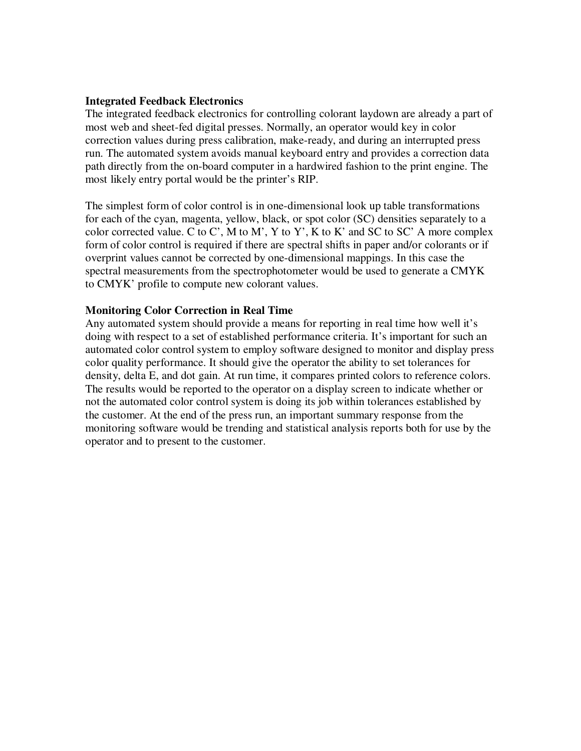#### **Integrated Feedback Electronics**

The integrated feedback electronics for controlling colorant laydown are already a part of most web and sheet-fed digital presses. Normally, an operator would key in color correction values during press calibration, make-ready, and during an interrupted press run. The automated system avoids manual keyboard entry and provides a correction data path directly from the on-board computer in a hardwired fashion to the print engine. The most likely entry portal would be the printer's RIP.

The simplest form of color control is in one-dimensional look up table transformations for each of the cyan, magenta, yellow, black, or spot color (SC) densities separately to a color corrected value.  $C$  to  $C'$ ,  $M$  to  $M'$ ,  $Y$  to  $Y'$ ,  $K$  to  $K'$  and  $SC$  to  $SC'$   $A$  more complex form of color control is required if there are spectral shifts in paper and/or colorants or if overprint values cannot be corrected by one-dimensional mappings. In this case the spectral measurements from the spectrophotometer would be used to generate a CMYK to CMYK' profile to compute new colorant values.

#### **Monitoring Color Correction in Real Time**

Any automated system should provide a means for reporting in real time how well it's doing with respect to a set of established performance criteria. It's important for such an automated color control system to employ software designed to monitor and display press color quality performance. It should give the operator the ability to set tolerances for density, delta E, and dot gain. At run time, it compares printed colors to reference colors. The results would be reported to the operator on a display screen to indicate whether or not the automated color control system is doing its job within tolerances established by the customer. At the end of the press run, an important summary response from the monitoring software would be trending and statistical analysis reports both for use by the operator and to present to the customer.